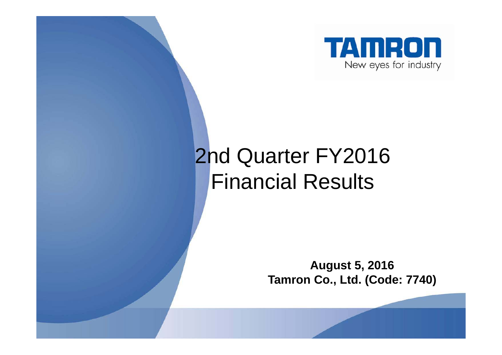

# 2nd Quarter FY2016 Financial Results

**August 5, 2016 Tamron Co., Ltd. (Code: 7740)**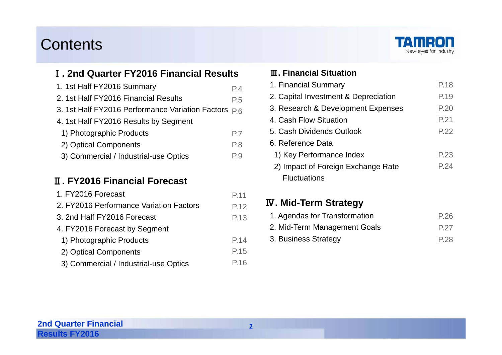#### Contents



#### Ⅰ**. 2nd Quarter FY2016 Financial Results**

| 1. 1st Half FY2016 Summary           | P.4 |
|--------------------------------------|-----|
| 2. 1st Half FY2016 Financial Results | P.5 |

- 3. 1st Half FY2016 Performance Variation Factors  $\rm\,P.6$
- 4. 1st Half FY2016 Results by Segment
- 1) Photographic Products P.7
- 2) Optical Components P.8
- 3) Commercial / Industrial-use Optics P.9

#### Ⅱ**. FY2016 Financial Forecast**

| 1. FY2016 Forecast                      | P.11 |
|-----------------------------------------|------|
| 2. FY2016 Performance Variation Factors | P.12 |
| 3. 2nd Half FY2016 Forecast             | P.13 |
| 4. FY2016 Forecast by Segment           |      |
| 1) Photographic Products                | P.14 |
| 2) Optical Components                   | P.15 |
| 3) Commercial / Industrial-use Optics   | P.16 |

#### Ⅲ**. Financial Situation**

| 1. Financial Summary                 | P.18 |
|--------------------------------------|------|
| 2. Capital Investment & Depreciation | P.19 |
| 3. Research & Development Expenses   | P.20 |
| 4. Cash Flow Situation               | P.21 |
| 5. Cash Dividends Outlook            | P.22 |
| 6. Reference Data                    |      |
| 1) Key Performance Index             | P.23 |
| 2) Impact of Foreign Exchange Rate   | P.24 |
| <b>Fluctuations</b>                  |      |

#### Ⅳ**. Mid-Term Strategy**

| 1. Agendas for Transformation | P.26 |
|-------------------------------|------|
| 2. Mid-Term Management Goals  | P.27 |
| 3. Business Strategy          | P.28 |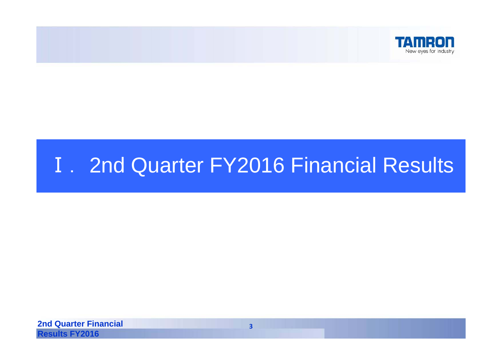

## **I.** 2nd Quarter FY2016 Financial Results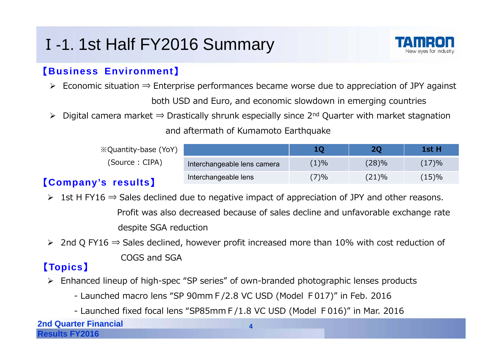## <sup>Ⅰ</sup>-1. 1st Half FY2016 Summary



#### 【**Business Environment**】

- Economic situation ⇒ Enterprise performances became worse due to appreciation of JPY against both USD and Euro, and economic slowdown in emerging countries
- > Digital camera market ⇒ Drastically shrunk especially since 2<sup>nd</sup> Quarter with market stagnation and aftermath of Kumamoto Earthquake

| <i><b>Exploimentally-base (YoY)</b></i> |                             |      |       | 1st H |
|-----------------------------------------|-----------------------------|------|-------|-------|
| (Source: CIPA)                          | Interchangeable lens camera | (1)% | (28)% | (17)% |
| $\mathbf{u}$                            | Interchangeable lens        | 7)%  | (21)% | (15)% |

#### 【**Company's results**】

> 1st H FY16  $\Rightarrow$  Sales declined due to negative impact of appreciation of JPY and other reasons.

Profit was also decreased because of sales decline and unfavorable exchange rate despite SGA reduction

> 2nd Q FY16  $\Rightarrow$  Sales declined, however profit increased more than 10% with cost reduction of COGS and SGA

#### 【**Topics**】

- Enhanced lineup of high-spec "SP series" of own-branded photographic lenses products
	- Launched macro lens "SP 90mmF/2.8 VC USD (Model F017)" in Feb. 2016
	- Launched fixed focal lens "SP85mmF/1.8 VC USD (Model F016)" in Mar. 2016

**2nd Quarter Financial Results FY2016**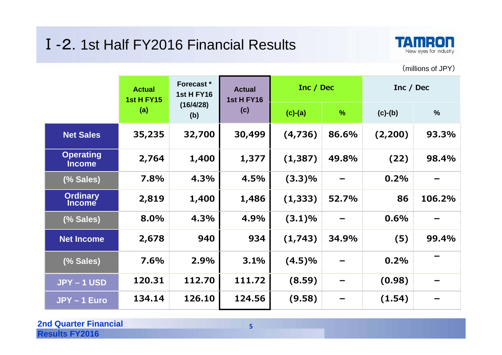#### Ⅰ-2. 1st Half FY2016 Financial Results



(millions of JPY)

|                                   | <b>Actual</b><br><b>1st H FY15</b> | Forecast *<br><b>1st H FY16</b> |        |           | <b>Actual</b><br><b>1st H FY16</b> | Inc / Dec |               | Inc / Dec |  |
|-----------------------------------|------------------------------------|---------------------------------|--------|-----------|------------------------------------|-----------|---------------|-----------|--|
|                                   | (a)                                | (16/4/28)<br>(b)                | (c)    | $(c)-(a)$ | $\frac{9}{6}$                      | $(c)-(b)$ | $\frac{0}{0}$ |           |  |
| <b>Net Sales</b>                  | 35,235                             | 32,700                          | 30,499 | (4,736)   | 86.6%                              | (2, 200)  | 93.3%         |           |  |
| <b>Operating</b><br><b>Income</b> | 2,764                              | 1,400                           | 1,377  | (1, 387)  | 49.8%                              | (22)      | 98.4%         |           |  |
| (% Sales)                         | 7.8%                               | 4.3%                            | 4.5%   | $(3.3)\%$ |                                    | 0.2%      |               |           |  |
| <b>Ordinary</b><br><b>Income</b>  | 2,819                              | 1,400                           | 1,486  | (1, 333)  | 52.7%                              | 86        | 106.2%        |           |  |
| (% Sales)                         | 8.0%                               | 4.3%                            | 4.9%   | (3.1)%    |                                    | 0.6%      |               |           |  |
| <b>Net Income</b>                 | 2,678                              | 940                             | 934    | (1,743)   | 34.9%                              | (5)       | 99.4%         |           |  |
| (% Sales)                         | 7.6%                               | 2.9%                            | 3.1%   | $(4.5)\%$ |                                    | 0.2%      |               |           |  |
| <b>JPY-1 USD</b>                  | 120.31                             | 112.70                          | 111.72 | (8.59)    |                                    | (0.98)    |               |           |  |
| JPY-1 Euro                        | 134.14                             | 126.10                          | 124.56 | (9.58)    |                                    | (1.54)    |               |           |  |

#### **2nd Quarter Financial Results FY2016**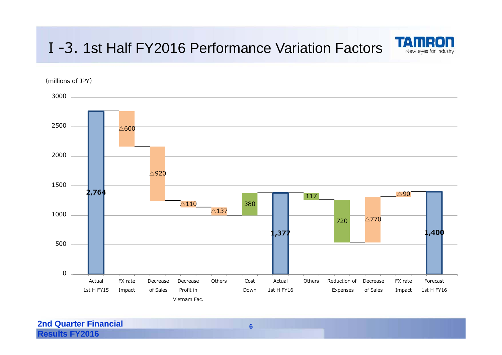#### Ⅰ-3. 1st Half FY2016 Performance Variation Factors



 $\overline{\triangle}600$  $\triangle$ 920  $\triangle 110$  $\triangle$ 137  $\triangle$ 770 **2,764** △90 $\Delta 90$ **1,377 1,400**  380117 720 05001000150020002500 3000Actual 1st H FY15FX rateImpact Decrease of Sales DecreaseProfit inVietnam Fac.Others Cost DownActual1st H FY16Others Reduction of Decrease Expenses of Sales FX rateImpact Forecast1st H FY16

(millions of JPY)

**2nd Quarter Financial Results FY2016** 

**6**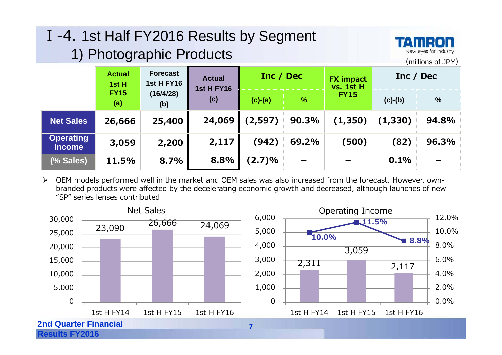| I-4. 1st Half FY2016 Results by Segment<br>TAMRON<br>New eyes for industry<br>1) Photographic Products<br>(millions of JPY) |                                                                                                      |                  |        |           |               |             |           |               |  |  |  |  |
|-----------------------------------------------------------------------------------------------------------------------------|------------------------------------------------------------------------------------------------------|------------------|--------|-----------|---------------|-------------|-----------|---------------|--|--|--|--|
|                                                                                                                             | <b>Forecast</b><br><b>Actual</b><br><b>Actual</b><br><b>1st H FY16</b><br>1st H<br><b>1st H FY16</b> |                  |        |           | Inc / Dec     |             |           | Inc / Dec     |  |  |  |  |
|                                                                                                                             | <b>FY15</b><br>(a)                                                                                   | (16/4/28)<br>(b) | (c)    | $(c)-(a)$ | $\frac{0}{0}$ | <b>FY15</b> | $(c)-(b)$ | $\frac{0}{0}$ |  |  |  |  |
| <b>Net Sales</b>                                                                                                            | 26,666                                                                                               | 25,400           | 24,069 | (2, 597)  | 90.3%         | (1,350)     | (1,330)   | 94.8%         |  |  |  |  |
| <b>Operating</b><br>Income                                                                                                  | 3,059                                                                                                | 2,200            | 2,117  | (942)     | 69.2%         | (500)       | (82)      | 96.3%         |  |  |  |  |
| (% Sales)                                                                                                                   | 11.5%                                                                                                | 8.7%             | 8.8%   | (2.7)%    |               |             | 0.1%      |               |  |  |  |  |

 $\blacktriangleright$  OEM models performed well in the market and OEM sales was also increased from the forecast. However, ownbranded products were affected by the decelerating economic growth and decreased, although launches of new "SP" series lenses contributed

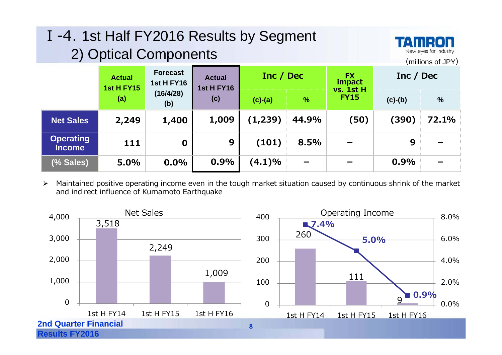| I-4. 1st Half FY2016 Results by Segment<br>TAMRON<br>New eyes for industry<br>2) Optical Components<br>(millions of JPY) |                                                                            |                  |                                    |           |               |                                  |           |               |  |  |  |  |
|--------------------------------------------------------------------------------------------------------------------------|----------------------------------------------------------------------------|------------------|------------------------------------|-----------|---------------|----------------------------------|-----------|---------------|--|--|--|--|
|                                                                                                                          | <b>Forecast</b><br><b>Actual</b><br><b>1st H FY16</b><br><b>1st H FY15</b> |                  | <b>Actual</b><br><b>1st H FY16</b> | Inc / Dec |               | <b>FX</b><br>impact<br>vs. 1st H | Inc / Dec |               |  |  |  |  |
|                                                                                                                          | (a)                                                                        | (16/4/28)<br>(b) | (c)                                | $(c)-(a)$ | $\frac{0}{0}$ | <b>FY15</b>                      | $(c)-(b)$ | $\frac{9}{6}$ |  |  |  |  |
| <b>Net Sales</b>                                                                                                         | 2,249                                                                      | 1,400            | 1,009                              | (1, 239)  | 44.9%         | (50)                             | (390)     | 72.1%         |  |  |  |  |
| <b>Operating</b><br><b>Income</b>                                                                                        | 111                                                                        | $\mathbf 0$      | 9                                  | (101)     | 8.5%          |                                  | 9         |               |  |  |  |  |
| (% Sales)                                                                                                                | 5.0%                                                                       | 0.0%             | 0.9%                               | (4.1)%    |               |                                  | 0.9%      |               |  |  |  |  |

 $\blacktriangleright$  Maintained positive operating income even in the tough market situation caused by continuous shrink of the market and indirect influence of Kumamoto Earthquake

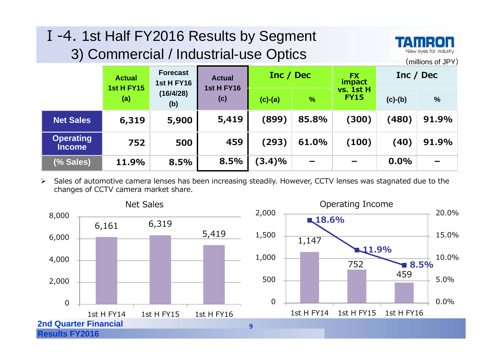| I-4. 1st Half FY2016 Results by Segment<br>TAMRON<br>3) Commercial / Industrial-use Optics<br>New eyes for industry<br>(millions of JPY) |                          |                                      |                          |           |               |                          |           |       |  |  |  |  |
|------------------------------------------------------------------------------------------------------------------------------------------|--------------------------|--------------------------------------|--------------------------|-----------|---------------|--------------------------|-----------|-------|--|--|--|--|
|                                                                                                                                          | <b>Actual</b>            | <b>Forecast</b><br><b>1st H FY16</b> | <b>Actual</b>            | Inc / Dec |               | <b>FX</b><br>impact      | Inc / Dec |       |  |  |  |  |
|                                                                                                                                          | <b>1st H FY15</b><br>(a) | (16/4/28)<br>(b)                     | <b>1st H FY16</b><br>(c) | $(c)-(a)$ | $\frac{9}{6}$ | vs. 1st H<br><b>FY15</b> | $(c)-(b)$ | $\%$  |  |  |  |  |
| <b>Net Sales</b>                                                                                                                         | 6,319                    | 5,900                                | 5,419                    | (899)     | 85.8%         | (300)                    | (480)     | 91.9% |  |  |  |  |
| <b>Operating</b><br><b>Income</b>                                                                                                        | 752                      | 500                                  | 459                      | (293)     | 61.0%         | (100)                    | (40)      | 91.9% |  |  |  |  |
| (% Sales)                                                                                                                                | 11.9%                    | 8.5%                                 | 8.5%                     | (3.4)%    |               |                          | 0.0%      |       |  |  |  |  |

 $\blacktriangleright$  Sales of automotive camera lenses has been increasing steadily. However, CCTV lenses was stagnated due to the changes of CCTV camera market share.

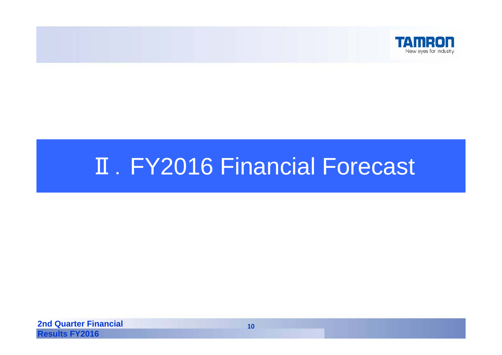

# **II. FY2016 Financial Forecast**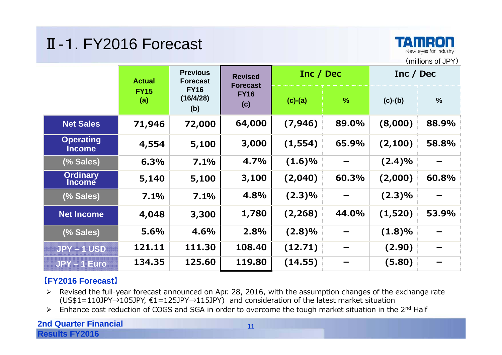#### Ⅱ-1. FY2016 Forecast



|                                   | <b>Previous</b><br><b>Actual</b><br><b>Forecast</b> |                                 | <b>Revised</b>                        | Inc / Dec |               | Inc / Dec |               |
|-----------------------------------|-----------------------------------------------------|---------------------------------|---------------------------------------|-----------|---------------|-----------|---------------|
|                                   | <b>FY15</b><br>(a)                                  | <b>FY16</b><br>(16/4/28)<br>(b) | <b>Forecast</b><br><b>FY16</b><br>(c) | $(c)-(a)$ | $\frac{9}{6}$ | $(c)-(b)$ | $\frac{0}{0}$ |
| <b>Net Sales</b>                  | 71,946                                              | 72,000                          | 64,000                                | (7, 946)  | 89.0%         | (8,000)   | 88.9%         |
| <b>Operating</b><br><b>Income</b> | 4,554                                               | 5,100                           | 3,000                                 | (1, 554)  | 65.9%         | (2, 100)  | 58.8%         |
| (% Sales)                         | 6.3%                                                | 7.1%                            | 4.7%                                  | (1.6)%    |               | (2.4)%    |               |
| <b>Ordinary</b><br><b>Income</b>  | 5,140                                               | 5,100                           | 3,100                                 | (2,040)   | 60.3%         | (2,000)   | 60.8%         |
| (% Sales)                         | 7.1%                                                | 7.1%                            | 4.8%                                  | $(2.3)\%$ |               | $(2.3)\%$ |               |
| <b>Net Income</b>                 | 4,048                                               | 3,300                           | 1,780                                 | (2, 268)  | 44.0%         | (1,520)   | 53.9%         |
| (% Sales)                         | 5.6%                                                | 4.6%                            | 2.8%                                  | $(2.8)\%$ |               | (1.8)%    |               |
| $JPY-1USD$                        | 121.11                                              | 111.30                          | 108.40                                | (12.71)   |               | (2.90)    |               |
| JPY-1 Euro                        | 134.35                                              | 125.60                          | 119.80                                | (14.55)   |               | (5.80)    |               |

#### **【FY2016 Forecast】**

- Revised the full-year forecast announced on Apr. 28, 2016, with the assumption changes of the exchange rate (US\$1=110JPY→105JPY, €1=125JPY→115JPY) and consideration of the latest market situation
- $\triangleright$  Enhance cost reduction of COGS and SGA in order to overcome the tough market situation in the 2<sup>nd</sup> Half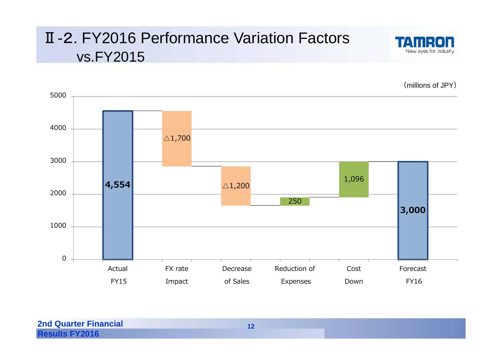#### Ⅱ-2. FY2016 Performance Variation Factors vs.FY2015



(millions of JPY)

 $\triangle$ 1,700 **4,554** △1,200 **3,000**  250 1,096 010002000300040005000Actual FY15FX rateImpact Decrease of SalesReduction of Expenses CostDownForecastFY16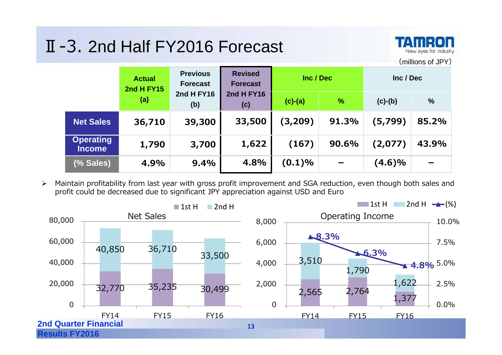### Ⅱ-3. 2nd Half FY2016 Forecast



(millions of JPY)

|                                   | <b>Previous</b><br><b>Actual</b><br><b>Forecast</b><br>2nd H FY15 |                          | <b>Revised</b><br><b>Forecast</b> | Inc / Dec |       | Inc / Dec                |                          |      |           |               |
|-----------------------------------|-------------------------------------------------------------------|--------------------------|-----------------------------------|-----------|-------|--------------------------|--------------------------|------|-----------|---------------|
|                                   | (a)                                                               | <b>2nd H FY16</b><br>(b) |                                   |           |       | <b>2nd H FY16</b><br>(c) | $(c)-(a)$                | $\%$ | $(c)-(b)$ | $\frac{0}{0}$ |
| <b>Net Sales</b>                  | 36,710                                                            | 39,300                   | 33,500                            | (3,209)   | 91.3% | (5,799)                  | 85.2%                    |      |           |               |
| <b>Operating</b><br><b>Income</b> | 1,790                                                             | 3,700                    | 1,622                             | (167)     | 90.6% | (2,077)                  | 43.9%                    |      |           |               |
| (% Sales)                         | 4.9%                                                              | 9.4%                     | 4.8%                              | (0.1)%    |       | (4.6)%                   | $\overline{\phantom{0}}$ |      |           |               |

 $\blacktriangleright$  Maintain profitability from last year with gross profit improvement and SGA reduction, even though both sales and profit could be decreased due to significant JPY appreciation against USD and Euro

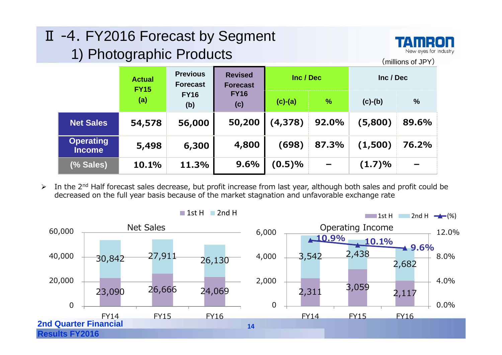### Ⅱ -4. FY2016 Forecast by Segment 1) Photographic Products



(millions of JPY)

**ActualFY15(a) PreviousForecastFY16 (b) RevisedForecast FY16(c) Inc / Dec Inc / Dec(c)-(a) % (c)-(b) % Net Sales 54,578 56,000 50,200 (4,378) 92.0% (5,800) 89.6% Operating Income 5,498 6,300 4,800 (698) 87.3% (1,500) 76.2% (% Sales) 10.1% 11.3% 9.6% (0.5)% - (1.7)% -**

 In the 2nd Half forecast sales decrease, but profit increase from last year, although both sales and profit could be decreased on the full year basis because of the market stagnation and unfavorable exchange rate

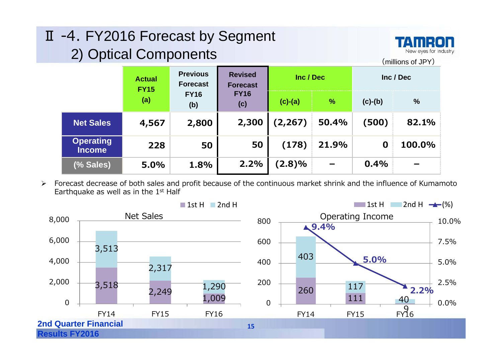#### Ⅱ -4. FY2016 Forecast by Segment 2) Optical Components



(millions of JPY)

|                                   | <b>Actual</b><br><b>FY15</b> | <b>Previous</b><br><b>Forecast</b> | <b>Revised</b><br><b>Forecast</b> | Inc / Dec |               |           | Inc / Dec     |
|-----------------------------------|------------------------------|------------------------------------|-----------------------------------|-----------|---------------|-----------|---------------|
|                                   | (a)                          | <b>FY16</b><br>(b)                 | <b>FY16</b><br>(c)                | $(c)-(a)$ | $\frac{9}{6}$ | $(c)-(b)$ | $\frac{0}{0}$ |
| <b>Net Sales</b>                  | 4,567                        | 2,800                              | 2,300                             | (2, 267)  | 50.4%         | (500)     | 82.1%         |
| <b>Operating</b><br><b>Income</b> | 228                          | 50                                 | 50                                | (178)     | 21.9%         | 0         | 100.0%        |
| (% Sales)                         | 5.0%                         | 1.8%                               | 2.2%                              | (2.8)%    |               | 0.4%      |               |

 $\blacktriangleright$  Forecast decrease of both sales and profit because of the continuous market shrink and the influence of Kumamoto Earthquake as well as in the 1<sup>st</sup> Half

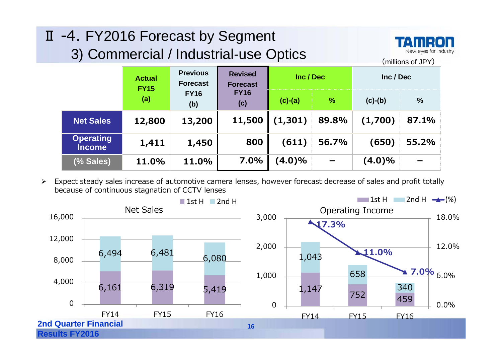| II -4. FY2016 Forecast by Segment<br><b>TAMRON</b><br>New eyes for industry<br>3) Commercial / Industrial-use Optics<br>(millions of JPY) |                              |                                    |                                   |           |               |           |       |
|-------------------------------------------------------------------------------------------------------------------------------------------|------------------------------|------------------------------------|-----------------------------------|-----------|---------------|-----------|-------|
|                                                                                                                                           | <b>Actual</b><br><b>FY15</b> | <b>Previous</b><br><b>Forecast</b> | <b>Revised</b><br><b>Forecast</b> | Inc / Dec |               | Inc / Dec |       |
|                                                                                                                                           | (a)                          | <b>FY16</b><br>(b)                 | <b>FY16</b><br>(c)                | $(c)-(a)$ | $\frac{0}{0}$ | $(c)-(b)$ | $\%$  |
| <b>Net Sales</b>                                                                                                                          | 12,800                       | 13,200                             | 11,500                            | (1,301)   | 89.8%         | (1,700)   | 87.1% |
| <b>Operating</b><br><b>Income</b>                                                                                                         | 1,411                        | 1,450                              | 800                               | (611)     | 56.7%         | (650)     | 55.2% |
| (% Sales)                                                                                                                                 | 11.0%                        | 11.0%                              | 7.0%                              | $(4.0)\%$ |               | $(4.0)\%$ |       |

 Expect steady sales increase of automotive camera lenses, however forecast decrease of sales and profit totally because of continuous stagnation of CCTV lenses

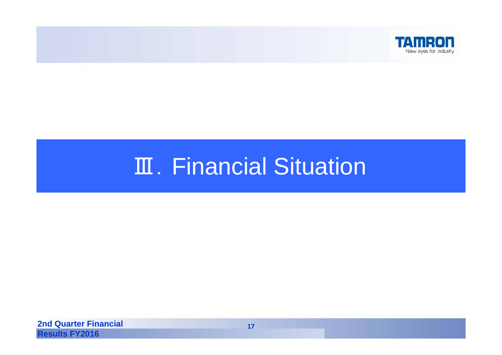

# Ⅲ. Financial Situation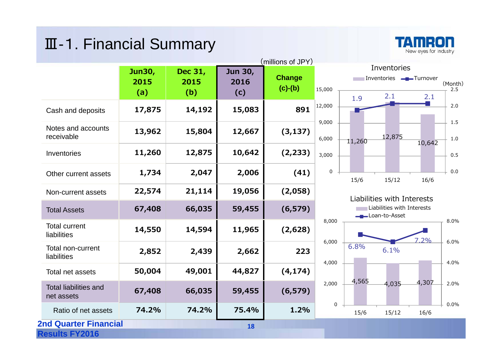#### Ⅲ-1. Financial Summary



|                                            |                       |                        |                        | (millions of JPY)          |                |          |
|--------------------------------------------|-----------------------|------------------------|------------------------|----------------------------|----------------|----------|
|                                            | Jun30,<br>2015<br>(a) | Dec 31,<br>2015<br>(b) | Jun 30,<br>2016<br>(c) | <b>Change</b><br>$(c)-(b)$ | 15,000         |          |
| Cash and deposits                          | 17,875                | 14,192                 | 15,083                 | 891                        | 12,000         | 1.9<br>F |
| Notes and accounts<br>receivable           | 13,962                | 15,804                 | 12,667                 | (3, 137)                   | 9,000<br>6,000 |          |
| Inventories                                | 11,260                | 12,875                 | 10,642                 | (2, 233)                   | 3,000          | 11,26    |
| Other current assets                       | 1,734                 | 2,047                  | 2,006                  | (41)                       | 0              | 15/6     |
| Non-current assets                         | 22,574                | 21,114                 | 19,056                 | (2,058)                    |                | Liab     |
| <b>Total Assets</b>                        | 67,408                | 66,035                 | 59,455                 | (6, 579)                   |                |          |
| <b>Total current</b><br>liabilities        | 14,550                | 14,594                 | 11,965                 | (2,628)                    | 8,000          |          |
| Total non-current<br>liabilities           | 2,852                 | 2,439                  | 2,662                  | 223                        | 6,000          | 6.8%     |
| Total net assets                           | 50,004                | 49,001                 | 44,827                 | (4, 174)                   | 4,000          |          |
| <b>Total liabilities and</b><br>net assets | 67,408                | 66,035                 | 59,455                 | (6, 579)                   | 2,000          | 4,56     |
| Ratio of net assets                        | 74.2%                 | 74.2%                  | 75.4%                  | 1.2%                       | 0              | 15/6     |
| <b>2nd Quarter Financial</b><br>18         |                       |                        |                        |                            |                |          |
| <b>Results FY2016</b>                      |                       |                        |                        |                            |                |          |



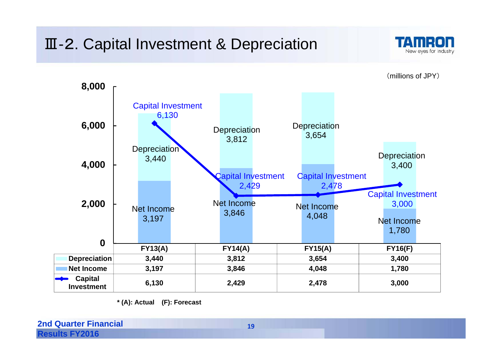### Ⅲ-2. Capital Investment & Depreciation



**FY13(A) FY14(A) FY15(A) FY16(F) Depreciation 3,440 3,812 3,654 3,400 Net Income 3,197 3,846 4,048 1,780 Capital Investment 6,130 2,429 2,478 3,000** Net Income3,197 Net Income 3,846 Net Income4,048 Net Income1,780 **Depreciation** 3,440 **Depreciation** 3,812 **Depreciation** 3,654 **Depreciation** 3,400 Capital Investment 6,130 Capital Investment 2,429 Capital Investment 2,478 Capital Investment 3,000 **02,000 4,000 6,000 8,000**

**\* (A): Actual (F): Forecast**

| <b>2nd Quarter Financial</b> |  |
|------------------------------|--|
| <b>Results FY2016</b>        |  |

(millions of JPY)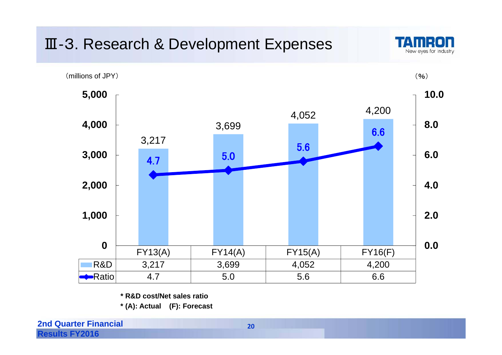### Ⅲ-3. Research & Development Expenses





**\* R&D cost/Net sales ratio**

**\* (A): Actual (F): Forecast**

**2nd Quarter Financial Results FY2016** 

**20**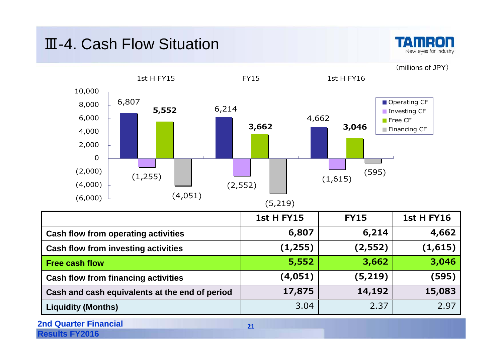#### Ⅲ-4. Cash Flow Situation



(millions of JPY)



|                                                | <b>1st H FY15</b> | <b>FY15</b> | <b>1st H FY16</b> |
|------------------------------------------------|-------------------|-------------|-------------------|
| <b>Cash flow from operating activities</b>     | 6,807             | 6,214       | 4,662             |
| <b>Cash flow from investing activities</b>     | (1, 255)          | (2, 552)    | (1,615)           |
| <b>Free cash flow</b>                          | 5,552             | 3,662       | 3,046             |
| <b>Cash flow from financing activities</b>     | (4,051)           | (5,219)     | (595)             |
| Cash and cash equivalents at the end of period | 17,875            | 14,192      | 15,083            |
| <b>Liquidity (Months)</b>                      | 3.04              | 2.37        | 2.97              |
| <b>2nd Quarter Financial</b>                   | 21                |             |                   |

**Results FY2016**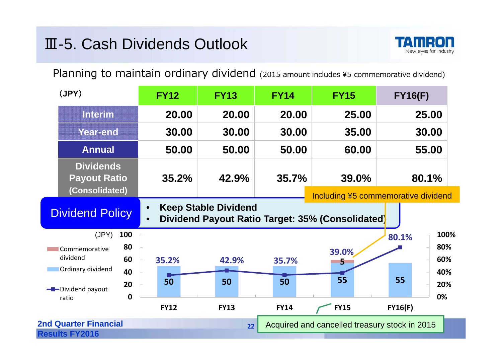#### Ⅲ-5. Cash Dividends Outlook



Planning to maintain ordinary dividend (2015 amount includes ¥5 commemorative dividend)

| (JPY)                                                     |                       | <b>FY12</b>       | <b>FY13</b>                 | <b>FY14</b>       | <b>FY15</b>                                                                             | <b>FY16(F)</b> |                           |
|-----------------------------------------------------------|-----------------------|-------------------|-----------------------------|-------------------|-----------------------------------------------------------------------------------------|----------------|---------------------------|
| <b>Interim</b>                                            |                       | 20.00             | 20.00                       | 20.00             | 25.00                                                                                   | 25.00          |                           |
| <b>Year-end</b>                                           |                       | 30.00             | 30.00                       | 30.00             | 35.00                                                                                   | 30.00          |                           |
| <b>Annual</b>                                             |                       | 50.00             | 50.00                       | 50.00             | 60.00                                                                                   | 55.00          |                           |
| <b>Dividends</b><br><b>Payout Ratio</b><br>(Consolidated) |                       | 35.2%             | 42.9%                       | 35.7%             | <b>39.0%</b>                                                                            | 80.1%          |                           |
| <b>Dividend Policy</b>                                    |                       |                   | <b>Keep Stable Dividend</b> |                   | Including ¥5 commemorative dividend<br>Dividend Payout Ratio Target: 35% (Consolidated) |                |                           |
| (JPY)<br>Commemorative<br>dividend<br>Ordinary dividend   | 100<br>80<br>60<br>40 | 35.2%             | 42.9%                       | 35.7%             | 39.0%<br>5                                                                              | 80.1%          | 100%<br>80%<br>60%<br>40% |
| -Dividend payout<br>ratio                                 | 20<br>$\mathbf 0$     | 50<br><b>FY12</b> | 50<br><b>FY13</b>           | 50<br><b>FY14</b> | 55<br><b>FY15</b>                                                                       | 55<br>FY16(F)  | 20%<br>0%                 |
| <b>2nd Quarter Financial</b><br><b>Results FY2016</b>     |                       |                   | 22                          |                   | Acquired and cancelled treasury stock in 2015                                           |                |                           |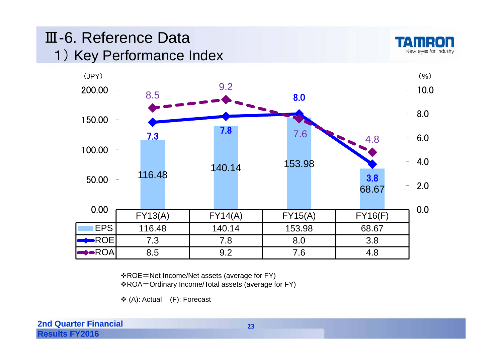### Ⅲ-6. Reference Data1) Key Performance Index





ROE=Net Income/Net assets (average for FY)

ROA=Ordinary Income/Total assets (average for FY)

(A): Actual (F): Forecast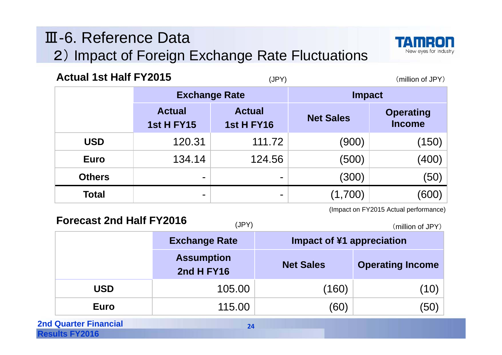### Ⅲ-6. Reference Data2) Impact of Foreign Exchange Rate Fluctuations



| <b>Actual 1st Half FY2015</b> |                                    | (JPY)                              | (million of JPY) |                                   |
|-------------------------------|------------------------------------|------------------------------------|------------------|-----------------------------------|
|                               | <b>Exchange Rate</b>               |                                    | <b>Impact</b>    |                                   |
|                               | <b>Actual</b><br><b>1st H FY15</b> | <b>Actual</b><br><b>1st H FY16</b> | <b>Net Sales</b> | <b>Operating</b><br><b>Income</b> |
| <b>USD</b>                    | 120.31                             | 111.72                             | (900)            | (150)                             |
| <b>Euro</b>                   | 134.14                             | 124.56                             | (500)            | (400)                             |
| <b>Others</b>                 | ۰                                  | -                                  | (300)            | (50)                              |
| <b>Total</b>                  | -                                  | -                                  | (1,700)          | (600)                             |

(Impact on FY2015 Actual performance)

**Exchange Rate Impact of ¥1 appreciation Assumption 2nd H FY16 Net Sales Operating Income USDD**  $\qquad \qquad 105.00 \qquad \qquad (160) \qquad \qquad (10)$ **Euroo** 115.00 (60) (50) **Forecast 2nd Half FY2016**(JPY) (million of JPY)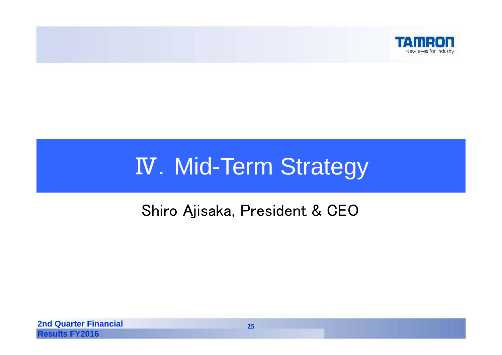

# **IV. Mid-Term Strategy**

### Shiro Ajisaka, President & CEO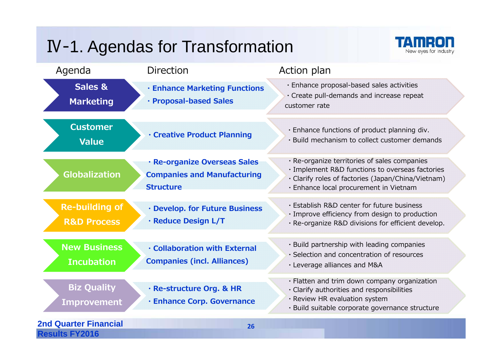## Ⅳ-1. Agendas for Transformation



| Agenda                                                | <b>Direction</b>                                                                       | Action plan                                                                                                                                                                                     |
|-------------------------------------------------------|----------------------------------------------------------------------------------------|-------------------------------------------------------------------------------------------------------------------------------------------------------------------------------------------------|
| Sales &<br><b>Marketing</b>                           | <b>· Enhance Marketing Functions</b><br>· Proposal-based Sales                         | · Enhance proposal-based sales activities<br>· Create pull-demands and increase repeat<br>customer rate                                                                                         |
| <b>Customer</b><br>Value                              | <b>· Creative Product Planning</b>                                                     | · Enhance functions of product planning div.<br>· Build mechanism to collect customer demands                                                                                                   |
| <b>Globalization</b>                                  | · Re-organize Overseas Sales<br><b>Companies and Manufacturing</b><br><b>Structure</b> | · Re-organize territories of sales companies<br>· Implement R&D functions to overseas factories<br>· Clarify roles of factories (Japan/China/Vietnam)<br>· Enhance local procurement in Vietnam |
| <b>Re-building of</b><br><b>R&amp;D Process</b>       | · Develop. for Future Business<br>· Reduce Design L/T                                  | . Establish R&D center for future business<br>· Improve efficiency from design to production<br>· Re-organize R&D divisions for efficient develop.                                              |
| <b>New Business</b><br><b>Incubation</b>              | <b>Collaboration with External</b><br><b>Companies (incl. Alliances)</b>               | · Build partnership with leading companies<br>· Selection and concentration of resources<br>· Leverage alliances and M&A                                                                        |
| <b>Biz Quality</b><br><b>Improvement</b>              | · Re-structure Org. & HR<br>· Enhance Corp. Governance                                 | · Flatten and trim down company organization<br>· Clarify authorities and responsibilities<br>· Review HR evaluation system<br>· Build suitable corporate governance structure                  |
| <b>2nd Quarter Financial</b><br><b>Results FY2016</b> | 26                                                                                     |                                                                                                                                                                                                 |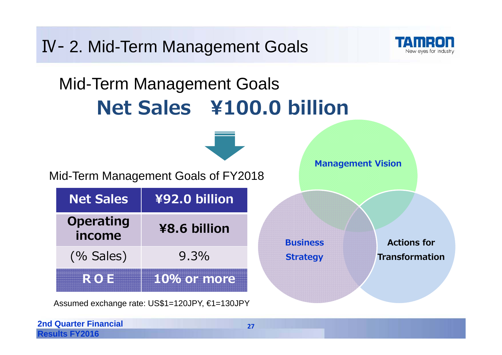Ⅳ- 2. Mid-Term Management Goals New eves for industry Mid-Term Management Goals **Net Sales ¥100.0 billion Management Vision** Mid-Term Management Goals of FY2018 **Net Sales ¥92.0 billion Operating ¥8.6 billion incomeActions for Business** (% Sales) 9.3% **Transformation Strategy ROE 10% or more**

Assumed exchange rate: US\$1=120JPY, €1=130JPY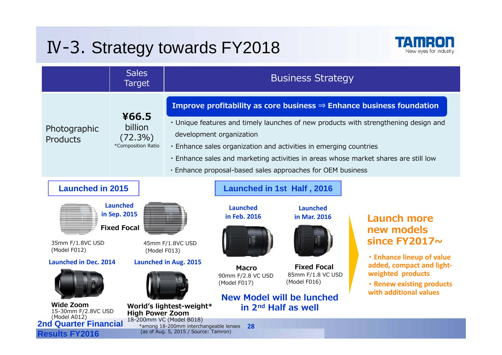## Ⅳ-3. Strategy towards FY2018



|                                                                                                                                                        | <b>Sales</b><br>Target                                                                          |                                                                                                          |                                                                                                                                                                                           | <b>Business Strategy</b>                                                                                                        |                                                                                                                                                                                                                                                                |
|--------------------------------------------------------------------------------------------------------------------------------------------------------|-------------------------------------------------------------------------------------------------|----------------------------------------------------------------------------------------------------------|-------------------------------------------------------------------------------------------------------------------------------------------------------------------------------------------|---------------------------------------------------------------------------------------------------------------------------------|----------------------------------------------------------------------------------------------------------------------------------------------------------------------------------------------------------------------------------------------------------------|
| Photographic<br>Products                                                                                                                               | ¥66.5<br>billion<br>$(72.3\%)$<br>*Composition Ratio                                            |                                                                                                          | development organization                                                                                                                                                                  | . Enhance sales organization and activities in emerging countries<br>. Enhance proposal-based sales approaches for OEM business | Improve profitability as core business $\Rightarrow$ Enhance business foundation<br>• Unique features and timely launches of new products with strengthening design and<br>. Enhance sales and marketing activities in areas whose market shares are still low |
| <b>Launched in 2015</b><br>35mm F/1.8VC USD<br>(Model F012)<br><b>Launched in Dec. 2014</b><br><b>Wide Zoom</b><br>15-30mm F/2.8VC USD<br>(Model A012) | <b>Launched</b><br>in Sep. 2015<br><b>Fixed Focal</b><br>(Model F013)<br><b>High Power Zoom</b> | 45mm F/1.8VC USD<br><b>Launched in Aug. 2015</b><br>World's lightest-weight*<br>18-200mm VC (Model B018) | Launched in 1st Half, 2016<br><b>Launched</b><br>in Feb. 2016<br><b>Macro</b><br>90mm F/2.8 VC USD<br>(Model F017)<br><b>New Model will be lunched</b><br>in 2 <sup>nd</sup> Half as well | <b>Launched</b><br>in Mar. 2016<br><b>Fixed Focal</b><br>85mm F/1.8 VC USD<br>(Model F016)                                      | <b>Launch more</b><br>new models<br>since FY2017~<br><b>Enhance lineup of value</b><br>added, compact and light-<br>weighted products<br><b>· Renew existing products</b><br>with additional values                                                            |
| <b>2nd Quarter Financial</b><br><b>Results FY2016</b>                                                                                                  |                                                                                                 | *among 18-200mm interchangeable lenses<br>(as of Aug. 5, 2015 / Source: Tamron)                          | <b>28</b>                                                                                                                                                                                 |                                                                                                                                 |                                                                                                                                                                                                                                                                |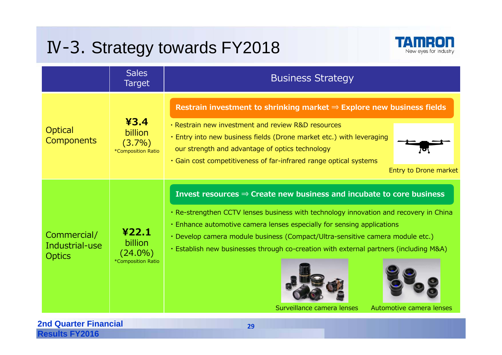## Ⅳ-3. Strategy towards FY2018



|                                                | <b>Sales</b><br><b>Target</b>                        | <b>Business Strategy</b>                                                                                                                                                                                                                                                                                                                                                                                                                                                                |
|------------------------------------------------|------------------------------------------------------|-----------------------------------------------------------------------------------------------------------------------------------------------------------------------------------------------------------------------------------------------------------------------------------------------------------------------------------------------------------------------------------------------------------------------------------------------------------------------------------------|
| <b>Optical</b><br><b>Components</b>            | 43.4<br>billion<br>$(3.7\%)$<br>*Composition Ratio   | Restrain investment to shrinking market $\Rightarrow$ Explore new business fields<br>• Restrain new investment and review R&D resources<br>. Entry into new business fields (Drone market etc.) with leveraging<br>our strength and advantage of optics technology<br>. Gain cost competitiveness of far-infrared range optical systems<br>Entry to Drone market                                                                                                                        |
| Commercial/<br>Industrial-use<br><b>Optics</b> | 422.1<br>billion<br>$(24.0\%)$<br>*Composition Ratio | Invest resources $\Rightarrow$ Create new business and incubate to core business<br>. Re-strengthen CCTV lenses business with technology innovation and recovery in China<br>• Enhance automotive camera lenses especially for sensing applications<br>· Develop camera module business (Compact/Ultra-sensitive camera module etc.)<br>. Establish new businesses through co-creation with external partners (including M&A)<br>Surveillance camera lenses<br>Automotive camera lenses |

#### **2nd Quarter Financial Results FY2016**